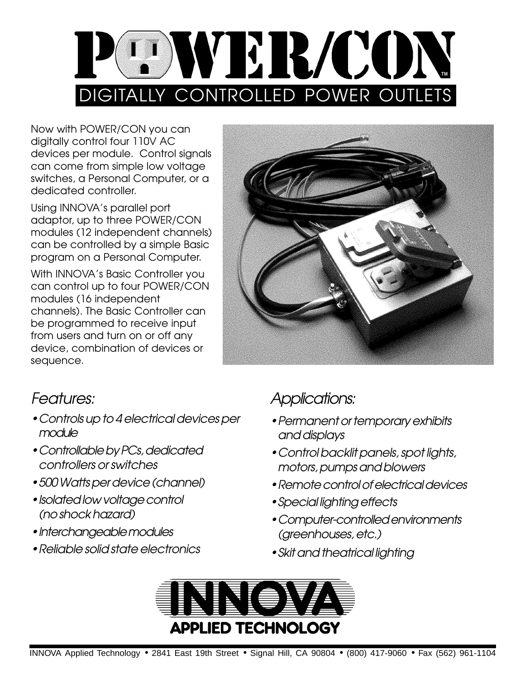

Now with POWER/CON you can digitally control four 110V AC devices per module. Control signals can come from simple low voltage switches, a Personal Computer, or a dedicated controller.

Using INNOVA's parallel port adaptor, up to three POWER/CON modules (12 independent channels) can be controlled by a simple Basic program on a Personal Computer.

With INNOVA's Basic Controller you can control up to four POWER/CON modules (16 independent channels). The Basic Controller can be programmed to receive input from users and turn on or off any device, combination of devices or sequence.



### Features:

- Controls up to 4 electrical devices per module
- Controllable by PCs, dedicated controllers or switches
- 500 Watts per device (channel)
- Isolated low voltage control (no shock hazard)
- Interchangeable modules
- [Reliable solid state electronics](#page-1-0)

## Applications:

- Permanent or temporary exhibits and displays
- [Control backlit panels](#page-3-0), spot lights, motors, pumps and blowers
- Remote control of electrical devices
- [Special lighting effects](#page-2-0)
- Computer-controlled environments (greenhouses, etc.)
- Skit and theatrical lighting

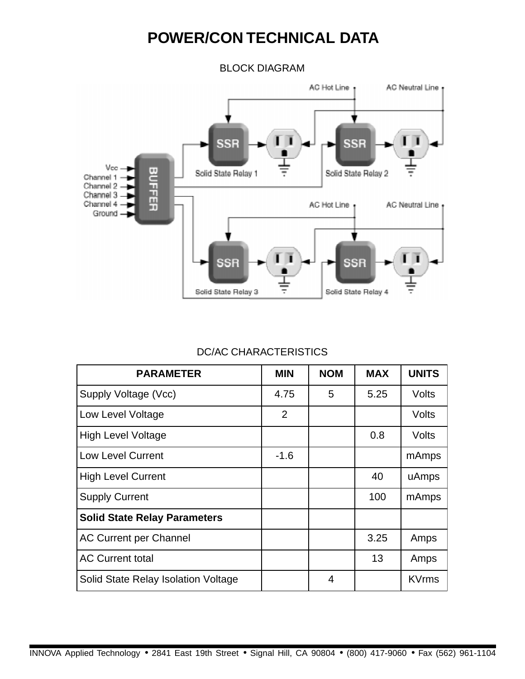## **POWER/CON TECHNICAL DATA**

BLOCK DIAGRAM

<span id="page-1-0"></span>

#### DC/AC CHARACTERISTICS

| <b>PARAMETER</b>                    | <b>MIN</b>     | <b>NOM</b> | <b>MAX</b> | <b>UNITS</b> |
|-------------------------------------|----------------|------------|------------|--------------|
| Supply Voltage (Vcc)                | 4.75           | 5          | 5.25       | Volts        |
| Low Level Voltage                   | $\overline{2}$ |            |            | Volts        |
| <b>High Level Voltage</b>           |                |            | 0.8        | Volts        |
| <b>Low Level Current</b>            | $-1.6$         |            |            | mAmps        |
| <b>High Level Current</b>           |                |            | 40         | uAmps        |
| <b>Supply Current</b>               |                |            | 100        | mAmps        |
| <b>Solid State Relay Parameters</b> |                |            |            |              |
| <b>AC Current per Channel</b>       |                |            | 3.25       | Amps         |
| <b>AC Current total</b>             |                |            | 13         | Amps         |
| Solid State Relay Isolation Voltage |                | 4          |            | <b>KVrms</b> |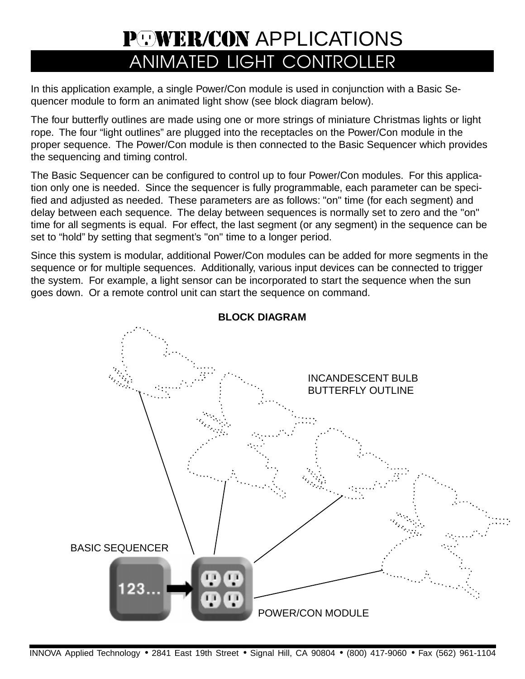# **POWER/CON APPLICATIONS** ANIMATED LIGHT CONTROLLER

<span id="page-2-0"></span>In this application example, a single Power/Con module is used in conjunction with a Basic Sequencer module to form an animated light show (see block diagram below).

The four butterfly outlines are made using one or more strings of miniature Christmas lights or light rope. The four "light outlines" are plugged into the receptacles on the Power/Con module in the proper sequence. The Power/Con module is then connected to the Basic Sequencer which provides the sequencing and timing control.

The Basic Sequencer can be configured to control up to four Power/Con modules. For this application only one is needed. Since the sequencer is fully programmable, each parameter can be specified and adjusted as needed. These parameters are as follows: "on" time (for each segment) and delay between each sequence. The delay between sequences is normally set to zero and the "on" time for all segments is equal. For effect, the last segment (or any segment) in the sequence can be set to "hold" by setting that segment's "on" time to a longer period.

Since this system is modular, additional Power/Con modules can be added for more segments in the sequence or for multiple sequences. Additionally, various input devices can be connected to trigger the system. For example, a light sensor can be incorporated to start the sequence when the sun goes down. Or a remote control unit can start the sequence on command.